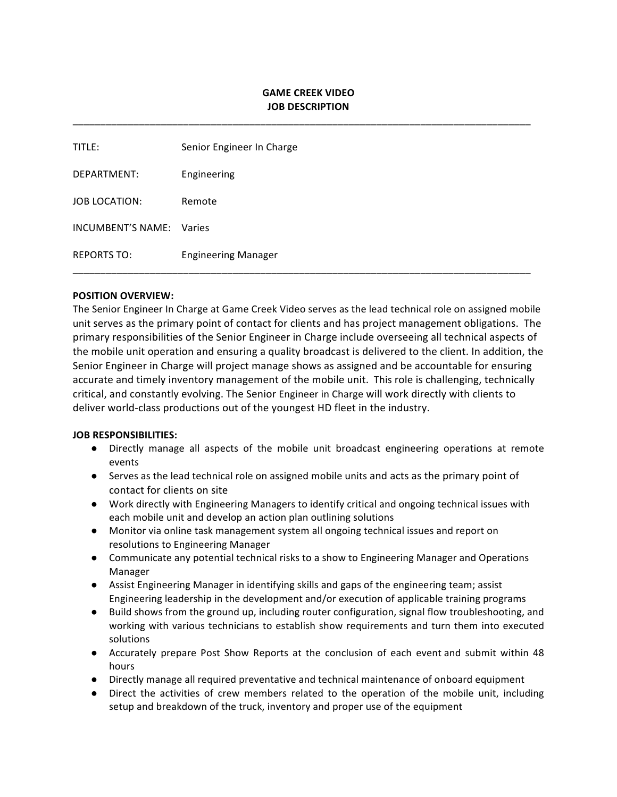# **GAME CREEK VIDEO JOB DESCRIPTION**

\_\_\_\_\_\_\_\_\_\_\_\_\_\_\_\_\_\_\_\_\_\_\_\_\_\_\_\_\_\_\_\_\_\_\_\_\_\_\_\_\_\_\_\_\_\_\_\_\_\_\_\_\_\_\_\_\_\_\_\_\_\_\_\_\_\_\_\_\_\_\_\_\_\_\_\_\_\_\_\_\_\_\_

| <b>TITLE:</b>            | Senior Engineer In Charge  |
|--------------------------|----------------------------|
| DEPARTMENT:              | Engineering                |
| <b>JOB LOCATION:</b>     | Remote                     |
| <b>INCUMBENT'S NAME:</b> | Varies                     |
| <b>REPORTS TO:</b>       | <b>Engineering Manager</b> |

### **POSITION OVERVIEW:**

The Senior Engineer In Charge at Game Creek Video serves as the lead technical role on assigned mobile unit serves as the primary point of contact for clients and has project management obligations. The primary responsibilities of the Senior Engineer in Charge include overseeing all technical aspects of the mobile unit operation and ensuring a quality broadcast is delivered to the client. In addition, the Senior Engineer in Charge will project manage shows as assigned and be accountable for ensuring accurate and timely inventory management of the mobile unit. This role is challenging, technically critical, and constantly evolving. The Senior Engineer in Charge will work directly with clients to deliver world-class productions out of the youngest HD fleet in the industry.

#### **JOB RESPONSIBILITIES:**

- Directly manage all aspects of the mobile unit broadcast engineering operations at remote events
- Serves as the lead technical role on assigned mobile units and acts as the primary point of contact for clients on site
- Work directly with Engineering Managers to identify critical and ongoing technical issues with each mobile unit and develop an action plan outlining solutions
- Monitor via online task management system all ongoing technical issues and report on resolutions to Engineering Manager
- Communicate any potential technical risks to a show to Engineering Manager and Operations Manager
- Assist Engineering Manager in identifying skills and gaps of the engineering team; assist Engineering leadership in the development and/or execution of applicable training programs
- Build shows from the ground up, including router configuration, signal flow troubleshooting, and working with various technicians to establish show requirements and turn them into executed solutions
- Accurately prepare Post Show Reports at the conclusion of each event and submit within 48 hours
- Directly manage all required preventative and technical maintenance of onboard equipment
- Direct the activities of crew members related to the operation of the mobile unit, including setup and breakdown of the truck, inventory and proper use of the equipment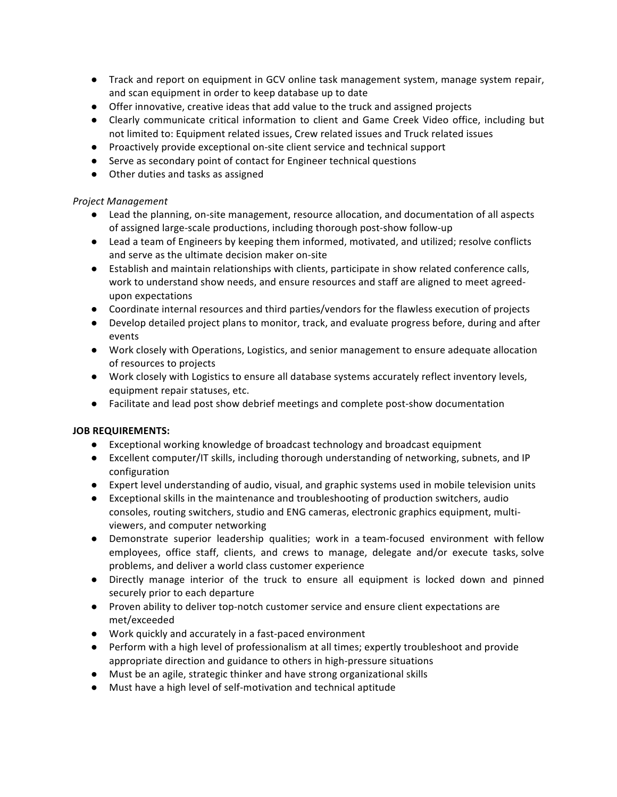- Track and report on equipment in GCV online task management system, manage system repair, and scan equipment in order to keep database up to date
- Offer innovative, creative ideas that add value to the truck and assigned projects
- Clearly communicate critical information to client and Game Creek Video office, including but not limited to: Equipment related issues, Crew related issues and Truck related issues
- Proactively provide exceptional on-site client service and technical support
- Serve as secondary point of contact for Engineer technical questions
- Other duties and tasks as assigned

# *Project Management*

- Lead the planning, on-site management, resource allocation, and documentation of all aspects of assigned large-scale productions, including thorough post-show follow-up
- Lead a team of Engineers by keeping them informed, motivated, and utilized; resolve conflicts and serve as the ultimate decision maker on-site
- Establish and maintain relationships with clients, participate in show related conference calls, work to understand show needs, and ensure resources and staff are aligned to meet agreedupon expectations
- Coordinate internal resources and third parties/vendors for the flawless execution of projects
- Develop detailed project plans to monitor, track, and evaluate progress before, during and after events
- Work closely with Operations, Logistics, and senior management to ensure adequate allocation of resources to projects
- Work closely with Logistics to ensure all database systems accurately reflect inventory levels, equipment repair statuses, etc.
- Facilitate and lead post show debrief meetings and complete post-show documentation

# **JOB REQUIREMENTS:**

- Exceptional working knowledge of broadcast technology and broadcast equipment
- Excellent computer/IT skills, including thorough understanding of networking, subnets, and IP configuration
- Expert level understanding of audio, visual, and graphic systems used in mobile television units
- Exceptional skills in the maintenance and troubleshooting of production switchers, audio consoles, routing switchers, studio and ENG cameras, electronic graphics equipment, multiviewers, and computer networking
- Demonstrate superior leadership qualities; work in a team-focused environment with fellow employees, office staff, clients, and crews to manage, delegate and/or execute tasks, solve problems, and deliver a world class customer experience
- Directly manage interior of the truck to ensure all equipment is locked down and pinned securely prior to each departure
- Proven ability to deliver top-notch customer service and ensure client expectations are met/exceeded
- Work quickly and accurately in a fast-paced environment
- Perform with a high level of professionalism at all times; expertly troubleshoot and provide appropriate direction and guidance to others in high-pressure situations
- Must be an agile, strategic thinker and have strong organizational skills
- Must have a high level of self-motivation and technical aptitude